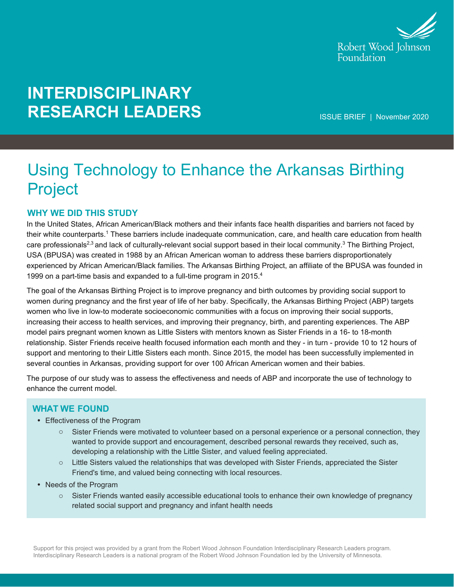

# **INTERDISCIPLINARY RESEARCH LEADERS**

ISSUE BRIEF | November 2020

## Using Technology to Enhance the Arkansas Birthing Project

#### **WHY WE DID THIS STUDY**

In the United States, African American/Black mothers and their infants face health disparities and barriers not faced by their white counterparts.<sup>1</sup> These barriers include inadequate communication, care, and health care education from health care professionals<sup>2,3</sup> and lack of culturally-relevant social support based in their local community.<sup>3</sup> The Birthing Project, USA (BPUSA) was created in 1988 by an African American woman to address these barriers disproportionately experienced by African American/Black families. The Arkansas Birthing Project, an affiliate of the BPUSA was founded in 1999 on a part-time basis and expanded to a full-time program in 2015. $4$ 

The goal of the Arkansas Birthing Project is to improve pregnancy and birth outcomes by providing social support to women during pregnancy and the first year of life of her baby. Specifically, the Arkansas Birthing Project (ABP) targets women who live in low-to moderate socioeconomic communities with a focus on improving their social supports, increasing their access to health services, and improving their pregnancy, birth, and parenting experiences. The ABP model pairs pregnant women known as Little Sisters with mentors known as Sister Friends in a 16- to 18-month relationship. Sister Friends receive health focused information each month and they - in turn - provide 10 to 12 hours of support and mentoring to their Little Sisters each month. Since 2015, the model has been successfully implemented in several counties in Arkansas, providing support for over 100 African American women and their babies.

The purpose of our study was to assess the effectiveness and needs of ABP and incorporate the use of technology to enhance the current model.

#### **WHAT WE FOUND**

- Effectiveness of the Program
	- o Sister Friends were motivated to volunteer based on a personal experience or a personal connection, they wanted to provide support and encouragement, described personal rewards they received, such as, developing a relationship with the Little Sister, and valued feeling appreciated.
	- $\circ$  Little Sisters valued the relationships that was developed with Sister Friends, appreciated the Sister Friend's time, and valued being connecting with local resources.
- Needs of the Program
	- $\circ$  Sister Friends wanted easily accessible educational tools to enhance their own knowledge of pregnancy related social support and pregnancy and infant health needs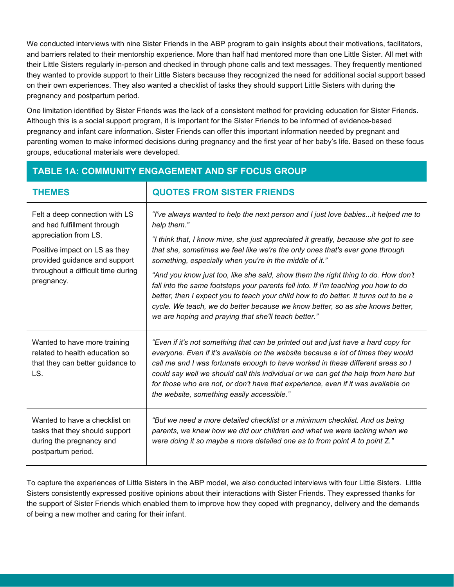We conducted interviews with nine Sister Friends in the ABP program to gain insights about their motivations, facilitators, and barriers related to their mentorship experience. More than half had mentored more than one Little Sister. All met with their Little Sisters regularly in-person and checked in through phone calls and text messages. They frequently mentioned they wanted to provide support to their Little Sisters because they recognized the need for additional social support based on their own experiences. They also wanted a checklist of tasks they should support Little Sisters with during the pregnancy and postpartum period.

One limitation identified by Sister Friends was the lack of a consistent method for providing education for Sister Friends. Although this is a social support program, it is important for the Sister Friends to be informed of evidence-based pregnancy and infant care information. Sister Friends can offer this important information needed by pregnant and parenting women to make informed decisions during pregnancy and the first year of her baby's life. Based on these focus groups, educational materials were developed.

| <b>THEMES</b>                                                                                                                                                                                                | <b>QUOTES FROM SISTER FRIENDS</b>                                                                                                                                                                                                                                                                                                                                                                                                                                                                                                                                                                                                                                                                                                               |
|--------------------------------------------------------------------------------------------------------------------------------------------------------------------------------------------------------------|-------------------------------------------------------------------------------------------------------------------------------------------------------------------------------------------------------------------------------------------------------------------------------------------------------------------------------------------------------------------------------------------------------------------------------------------------------------------------------------------------------------------------------------------------------------------------------------------------------------------------------------------------------------------------------------------------------------------------------------------------|
| Felt a deep connection with LS<br>and had fulfillment through<br>appreciation from LS.<br>Positive impact on LS as they<br>provided guidance and support<br>throughout a difficult time during<br>pregnancy. | "I've always wanted to help the next person and I just love babiesit helped me to<br>help them."<br>"I think that, I know mine, she just appreciated it greatly, because she got to see<br>that she, sometimes we feel like we're the only ones that's ever gone through<br>something, especially when you're in the middle of it."<br>"And you know just too, like she said, show them the right thing to do. How don't<br>fall into the same footsteps your parents fell into. If I'm teaching you how to do<br>better, then I expect you to teach your child how to do better. It turns out to be a<br>cycle. We teach, we do better because we know better, so as she knows better,<br>we are hoping and praying that she'll teach better." |
| Wanted to have more training<br>related to health education so<br>that they can better guidance to<br>LS.                                                                                                    | "Even if it's not something that can be printed out and just have a hard copy for<br>everyone. Even if it's available on the website because a lot of times they would<br>call me and I was fortunate enough to have worked in these different areas so I<br>could say well we should call this individual or we can get the help from here but<br>for those who are not, or don't have that experience, even if it was available on<br>the website, something easily accessible."                                                                                                                                                                                                                                                              |
| Wanted to have a checklist on<br>tasks that they should support<br>during the pregnancy and<br>postpartum period.                                                                                            | "But we need a more detailed checklist or a minimum checklist. And us being<br>parents, we knew how we did our children and what we were lacking when we<br>were doing it so maybe a more detailed one as to from point A to point Z."                                                                                                                                                                                                                                                                                                                                                                                                                                                                                                          |

**TABLE 1A: COMMUNITY ENGAGEMENT AND SF FOCUS GROUP**

To capture the experiences of Little Sisters in the ABP model, we also conducted interviews with four Little Sisters. Little Sisters consistently expressed positive opinions about their interactions with Sister Friends. They expressed thanks for the support of Sister Friends which enabled them to improve how they coped with pregnancy, delivery and the demands of being a new mother and caring for their infant.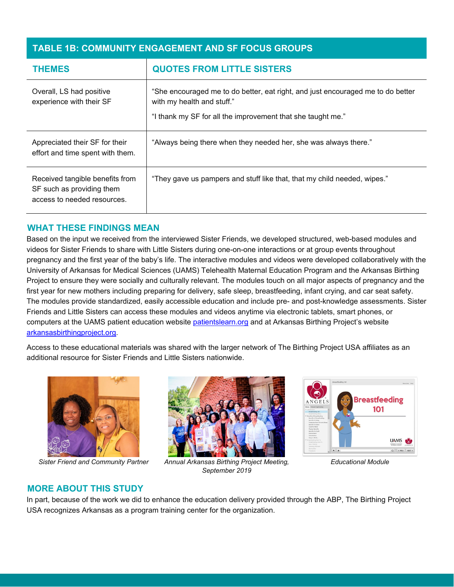#### **TABLE 1B: COMMUNITY ENGAGEMENT AND SF FOCUS GROUPS**

| <b>THEMES</b>                                                                               | <b>QUOTES FROM LITTLE SISTERS</b>                                                                                                                                            |
|---------------------------------------------------------------------------------------------|------------------------------------------------------------------------------------------------------------------------------------------------------------------------------|
| Overall, LS had positive<br>experience with their SF                                        | "She encouraged me to do better, eat right, and just encouraged me to do better<br>with my health and stuff."<br>"I thank my SF for all the improvement that she taught me." |
| Appreciated their SF for their<br>effort and time spent with them.                          | "Always being there when they needed her, she was always there."                                                                                                             |
| Received tangible benefits from<br>SF such as providing them<br>access to needed resources. | "They gave us pampers and stuff like that, that my child needed, wipes."                                                                                                     |

#### **WHAT THESE FINDINGS MEAN**

Based on the input we received from the interviewed Sister Friends, we developed structured, web-based modules and videos for Sister Friends to share with Little Sisters during one-on-one interactions or at group events throughout pregnancy and the first year of the baby's life. The interactive modules and videos were developed collaboratively with the University of Arkansas for Medical Sciences (UAMS) Telehealth Maternal Education Program and the Arkansas Birthing Project to ensure they were socially and culturally relevant. The modules touch on all major aspects of pregnancy and the first year for new mothers including preparing for delivery, safe sleep, breastfeeding, infant crying, and car seat safety. The modules provide standardized, easily accessible education and include pre- and post-knowledge assessments. Sister Friends and Little Sisters can access these modules and videos anytime via electronic tablets, smart phones, or computers at the UAMS patient education website [patientslearn.org](https://patientslearn.org/) and at Arkansas Birthing Project's website [arkansasbirthingproject.org.](https://arkansasbirthingproject.org/)

Access to these educational materials was shared with the larger network of The Birthing Project USA affiliates as an additional resource for Sister Friends and Little Sisters nationwide.



*Sister Friend and Community Partner Annual Arkansas Birthing Project Meeting,* 





*September 2019*

*Educational Module*

#### **MORE ABOUT THIS STUDY**

In part, because of the work we did to enhance the education delivery provided through the ABP, The Birthing Project USA recognizes Arkansas as a program training center for the organization.